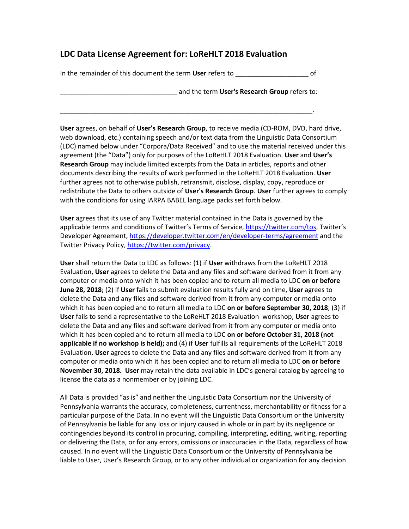# **LDC Data License Agreement for: LoReHLT 2018 Evaluation**

In the remainder of this document the term **User** refers to \_\_\_\_\_\_\_\_\_\_\_\_\_\_\_\_\_\_\_\_ of

\_\_\_\_\_\_\_\_\_\_\_\_\_\_\_\_\_\_\_\_\_\_\_\_\_\_\_\_\_\_\_\_\_\_\_\_\_\_\_\_\_\_\_\_\_\_\_\_\_\_\_\_\_\_\_\_\_\_\_\_\_\_\_\_\_\_\_\_\_.

\_\_\_\_\_\_\_\_\_\_\_\_\_\_\_\_\_\_\_\_\_\_\_\_\_\_\_\_\_\_\_\_ and the term **User's Research Group** refers to:

**User** agrees, on behalf of **User's Research Group**, to receive media (CD-ROM, DVD, hard drive, web download, etc.) containing speech and/or text data from the Linguistic Data Consortium (LDC) named below under "Corpora/Data Received" and to use the material received under this agreement (the "Data") only for purposes of the LoReHLT 2018 Evaluation. **User** and **User's Research Group** may include limited excerpts from the Data in articles, reports and other documents describing the results of work performed in the LoReHLT 2018 Evaluation. **User** further agrees not to otherwise publish, retransmit, disclose, display, copy, reproduce or redistribute the Data to others outside of **User's Research Group**. **User** further agrees to comply with the conditions for using IARPA BABEL language packs set forth below.

**User** agrees that its use of any Twitter material contained in the Data is governed by the applicable terms and conditions of Twitter's Terms of Service, https://twitter.com/tos, Twitter's Developer Agreement, https://developer.twitter.com/en/developer-terms/agreement and the Twitter Privacy Policy, https://twitter.com/privacy.

**User** shall return the Data to LDC as follows: (1) if **User** withdraws from the LoReHLT 2018 Evaluation, **User** agrees to delete the Data and any files and software derived from it from any computer or media onto which it has been copied and to return all media to LDC **on or before June 28, 2018**; (2) if **User** fails to submit evaluation results fully and on time, **User** agrees to delete the Data and any files and software derived from it from any computer or media onto which it has been copied and to return all media to LDC **on or before September 30, 2018**; (3) if **User** fails to send a representative to the LoReHLT 2018 Evaluation workshop, **User** agrees to delete the Data and any files and software derived from it from any computer or media onto which it has been copied and to return all media to LDC **on or before October 31, 2018 (not applicable if no workshop is held);** and (4) if **User** fulfills all requirements of the LoReHLT 2018 Evaluation, **User** agrees to delete the Data and any files and software derived from it from any computer or media onto which it has been copied and to return all media to LDC **on or before November 30, 2018. User** may retain the data available in LDC's general catalog by agreeing to license the data as a nonmember or by joining LDC.

All Data is provided "as is" and neither the Linguistic Data Consortium nor the University of Pennsylvania warrants the accuracy, completeness, currentness, merchantability or fitness for a particular purpose of the Data. In no event will the Linguistic Data Consortium or the University of Pennsylvania be liable for any loss or injury caused in whole or in part by its negligence or contingencies beyond its control in procuring, compiling, interpreting, editing, writing, reporting or delivering the Data, or for any errors, omissions or inaccuracies in the Data, regardless of how caused. In no event will the Linguistic Data Consortium or the University of Pennsylvania be liable to User, User's Research Group, or to any other individual or organization for any decision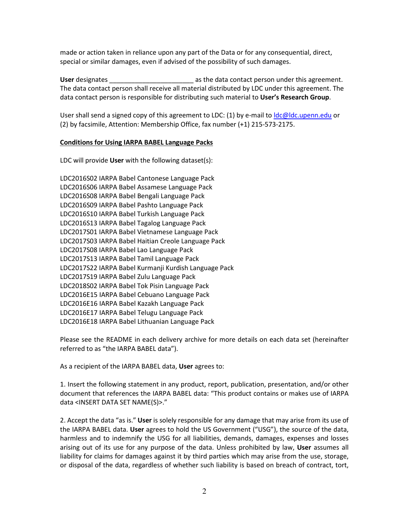made or action taken in reliance upon any part of the Data or for any consequential, direct, special or similar damages, even if advised of the possibility of such damages.

User designates **Late 2** as the data contact person under this agreement. The data contact person shall receive all material distributed by LDC under this agreement. The data contact person is responsible for distributing such material to **User's Research Group**.

User shall send a signed copy of this agreement to LDC: (1) by e-mail to  $\text{Idc@ldc.upenn.edu}$  or (2) by facsimile, Attention: Membership Office, fax number (+1) 215-573-2175.

#### **Conditions for Using IARPA BABEL Language Packs**

LDC will provide **User** with the following dataset(s):

LDC2016S02 IARPA Babel Cantonese Language Pack LDC2016S06 IARPA Babel Assamese Language Pack LDC2016S08 IARPA Babel Bengali Language Pack LDC2016S09 IARPA Babel Pashto Language Pack LDC2016S10 IARPA Babel Turkish Language Pack LDC2016S13 IARPA Babel Tagalog Language Pack LDC2017S01 IARPA Babel Vietnamese Language Pack LDC2017S03 IARPA Babel Haitian Creole Language Pack LDC2017S08 IARPA Babel Lao Language Pack LDC2017S13 IARPA Babel Tamil Language Pack LDC2017S22 IARPA Babel Kurmanji Kurdish Language Pack LDC2017S19 IARPA Babel Zulu Language Pack LDC2018S02 IARPA Babel Tok Pisin Language Pack LDC2016E15 IARPA Babel Cebuano Language Pack LDC2016E16 IARPA Babel Kazakh Language Pack LDC2016E17 IARPA Babel Telugu Language Pack LDC2016E18 IARPA Babel Lithuanian Language Pack

Please see the README in each delivery archive for more details on each data set (hereinafter referred to as "the IARPA BABEL data").

As a recipient of the IARPA BABEL data, **User** agrees to:

1. Insert the following statement in any product, report, publication, presentation, and/or other document that references the IARPA BABEL data: "This product contains or makes use of IARPA data <INSERT DATA SET NAME(S)>."

2. Accept the data "as is." **User** is solely responsible for any damage that may arise from its use of the IARPA BABEL data. **User** agrees to hold the US Government ("USG"), the source of the data, harmless and to indemnify the USG for all liabilities, demands, damages, expenses and losses arising out of its use for any purpose of the data. Unless prohibited by law, **User** assumes all liability for claims for damages against it by third parties which may arise from the use, storage, or disposal of the data, regardless of whether such liability is based on breach of contract, tort,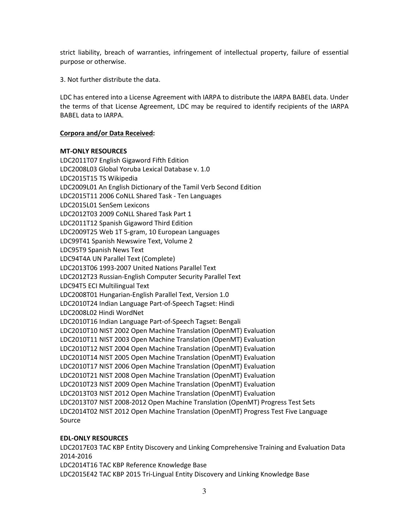strict liability, breach of warranties, infringement of intellectual property, failure of essential purpose or otherwise.

3. Not further distribute the data.

LDC has entered into a License Agreement with IARPA to distribute the IARPA BABEL data. Under the terms of that License Agreement, LDC may be required to identify recipients of the IARPA BABEL data to IARPA.

## **Corpora and/or Data Received:**

### **MT-ONLY RESOURCES**

LDC2011T07 English Gigaword Fifth Edition LDC2008L03 Global Yoruba Lexical Database v. 1.0 LDC2015T15 TS Wikipedia LDC2009L01 An English Dictionary of the Tamil Verb Second Edition LDC2015T11 2006 CoNLL Shared Task - Ten Languages LDC2015L01 SenSem Lexicons LDC2012T03 2009 CoNLL Shared Task Part 1 LDC2011T12 Spanish Gigaword Third Edition LDC2009T25 Web 1T 5-gram, 10 European Languages LDC99T41 Spanish Newswire Text, Volume 2 LDC95T9 Spanish News Text LDC94T4A UN Parallel Text (Complete) LDC2013T06 1993-2007 United Nations Parallel Text LDC2012T23 Russian-English Computer Security Parallel Text LDC94T5 ECI Multilingual Text LDC2008T01 Hungarian-English Parallel Text, Version 1.0 LDC2010T24 Indian Language Part-of-Speech Tagset: Hindi LDC2008L02 Hindi WordNet LDC2010T16 Indian Language Part-of-Speech Tagset: Bengali LDC2010T10 NIST 2002 Open Machine Translation (OpenMT) Evaluation LDC2010T11 NIST 2003 Open Machine Translation (OpenMT) Evaluation LDC2010T12 NIST 2004 Open Machine Translation (OpenMT) Evaluation LDC2010T14 NIST 2005 Open Machine Translation (OpenMT) Evaluation LDC2010T17 NIST 2006 Open Machine Translation (OpenMT) Evaluation LDC2010T21 NIST 2008 Open Machine Translation (OpenMT) Evaluation LDC2010T23 NIST 2009 Open Machine Translation (OpenMT) Evaluation LDC2013T03 NIST 2012 Open Machine Translation (OpenMT) Evaluation LDC2013T07 NIST 2008-2012 Open Machine Translation (OpenMT) Progress Test Sets LDC2014T02 NIST 2012 Open Machine Translation (OpenMT) Progress Test Five Language Source

# **EDL-ONLY RESOURCES**

LDC2017E03 TAC KBP Entity Discovery and Linking Comprehensive Training and Evaluation Data 2014-2016 LDC2014T16 TAC KBP Reference Knowledge Base LDC2015E42 TAC KBP 2015 Tri-Lingual Entity Discovery and Linking Knowledge Base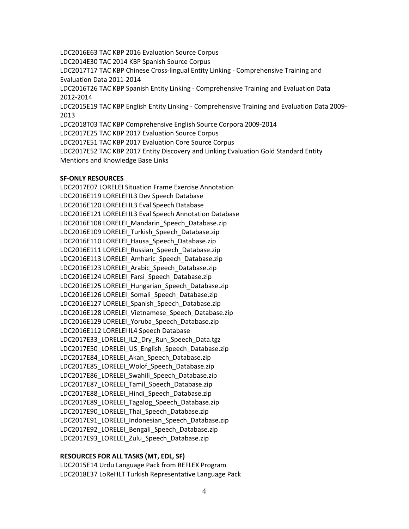LDC2016E63 TAC KBP 2016 Evaluation Source Corpus LDC2014E30 TAC 2014 KBP Spanish Source Corpus LDC2017T17 TAC KBP Chinese Cross-lingual Entity Linking - Comprehensive Training and Evaluation Data 2011-2014 LDC2016T26 TAC KBP Spanish Entity Linking - Comprehensive Training and Evaluation Data 2012-2014 LDC2015E19 TAC KBP English Entity Linking - Comprehensive Training and Evaluation Data 2009- 2013 LDC2018T03 TAC KBP Comprehensive English Source Corpora 2009-2014 LDC2017E25 TAC KBP 2017 Evaluation Source Corpus LDC2017E51 TAC KBP 2017 Evaluation Core Source Corpus LDC2017E52 TAC KBP 2017 Entity Discovery and Linking Evaluation Gold Standard Entity Mentions and Knowledge Base Links

#### **SF-ONLY RESOURCES**

LDC2017E07 LORELEI Situation Frame Exercise Annotation LDC2016E119 LORELEI IL3 Dev Speech Database LDC2016E120 LORELEI IL3 Eval Speech Database LDC2016E121 LORELEI IL3 Eval Speech Annotation Database LDC2016E108 LORELEI\_Mandarin\_Speech\_Database.zip LDC2016E109 LORELEI Turkish Speech Database.zip LDC2016E110 LORELEI\_Hausa\_Speech\_Database.zip LDC2016E111 LORELEI Russian Speech Database.zip LDC2016E113 LORELEI Amharic Speech Database.zip LDC2016E123 LORELEI Arabic Speech Database.zip LDC2016E124 LORELEI\_Farsi\_Speech\_Database.zip LDC2016E125 LORELEI\_Hungarian\_Speech\_Database.zip LDC2016E126 LORELEI Somali Speech Database.zip LDC2016E127 LORELEI\_Spanish\_Speech\_Database.zip LDC2016E128 LORELEI\_Vietnamese\_Speech\_Database.zip LDC2016E129 LORELEI\_Yoruba\_Speech\_Database.zip LDC2016E112 LORELEI IL4 Speech Database LDC2017E33 LORELEI IL2 Dry Run Speech Data.tgz LDC2017E50 LORELEI US English Speech Database.zip LDC2017E84 LORELEI Akan Speech Database.zip LDC2017E85\_LORELEI\_Wolof\_Speech\_Database.zip LDC2017E86 LORELEI Swahili Speech Database.zip LDC2017E87\_LORELEI\_Tamil\_Speech\_Database.zip LDC2017E88\_LORELEI\_Hindi\_Speech\_Database.zip LDC2017E89\_LORELEI\_Tagalog\_Speech\_Database.zip LDC2017E90\_LORELEI\_Thai\_Speech\_Database.zip LDC2017E91\_LORELEI\_Indonesian\_Speech\_Database.zip LDC2017E92\_LORELEI\_Bengali\_Speech\_Database.zip LDC2017E93 LORELEI Zulu Speech Database.zip

#### **RESOURCES FOR ALL TASKS (MT, EDL, SF)**

LDC2015E14 Urdu Language Pack from REFLEX Program LDC2018E37 LoReHLT Turkish Representative Language Pack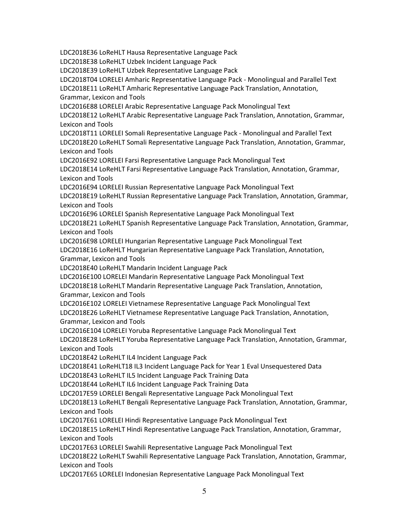LDC2018E36 LoReHLT Hausa Representative Language Pack

LDC2018E38 LoReHLT Uzbek Incident Language Pack

LDC2018E39 LoReHLT Uzbek Representative Language Pack

LDC2018T04 LORELEI Amharic Representative Language Pack - Monolingual and Parallel Text LDC2018E11 LoReHLT Amharic Representative Language Pack Translation, Annotation,

Grammar, Lexicon and Tools

LDC2016E88 LORELEI Arabic Representative Language Pack Monolingual Text

LDC2018E12 LoReHLT Arabic Representative Language Pack Translation, Annotation, Grammar, Lexicon and Tools

LDC2018T11 LORELEI Somali Representative Language Pack - Monolingual and Parallel Text LDC2018E20 LoReHLT Somali Representative Language Pack Translation, Annotation, Grammar, Lexicon and Tools

LDC2016E92 LORELEI Farsi Representative Language Pack Monolingual Text

LDC2018E14 LoReHLT Farsi Representative Language Pack Translation, Annotation, Grammar, Lexicon and Tools

LDC2016E94 LORELEI Russian Representative Language Pack Monolingual Text

LDC2018E19 LoReHLT Russian Representative Language Pack Translation, Annotation, Grammar, Lexicon and Tools

LDC2016E96 LORELEI Spanish Representative Language Pack Monolingual Text

LDC2018E21 LoReHLT Spanish Representative Language Pack Translation, Annotation, Grammar, Lexicon and Tools

LDC2016E98 LORELEI Hungarian Representative Language Pack Monolingual Text

LDC2018E16 LoReHLT Hungarian Representative Language Pack Translation, Annotation, Grammar, Lexicon and Tools

LDC2018E40 LoReHLT Mandarin Incident Language Pack

LDC2016E100 LORELEI Mandarin Representative Language Pack Monolingual Text

LDC2018E18 LoReHLT Mandarin Representative Language Pack Translation, Annotation, Grammar, Lexicon and Tools

LDC2016E102 LORELEI Vietnamese Representative Language Pack Monolingual Text

LDC2018E26 LoReHLT Vietnamese Representative Language Pack Translation, Annotation, Grammar, Lexicon and Tools

LDC2016E104 LORELEI Yoruba Representative Language Pack Monolingual Text

LDC2018E28 LoReHLT Yoruba Representative Language Pack Translation, Annotation, Grammar, Lexicon and Tools

LDC2018E42 LoReHLT IL4 Incident Language Pack

LDC2018E41 LoReHLT18 IL3 Incident Language Pack for Year 1 Eval Unsequestered Data

LDC2018E43 LoReHLT IL5 Incident Language Pack Training Data

LDC2018E44 LoReHLT IL6 Incident Language Pack Training Data

LDC2017E59 LORELEI Bengali Representative Language Pack Monolingual Text

LDC2018E13 LoReHLT Bengali Representative Language Pack Translation, Annotation, Grammar, Lexicon and Tools

LDC2017E61 LORELEI Hindi Representative Language Pack Monolingual Text

LDC2018E15 LoReHLT Hindi Representative Language Pack Translation, Annotation, Grammar, Lexicon and Tools

LDC2017E63 LORELEI Swahili Representative Language Pack Monolingual Text

LDC2018E22 LoReHLT Swahili Representative Language Pack Translation, Annotation, Grammar, Lexicon and Tools

LDC2017E65 LORELEI Indonesian Representative Language Pack Monolingual Text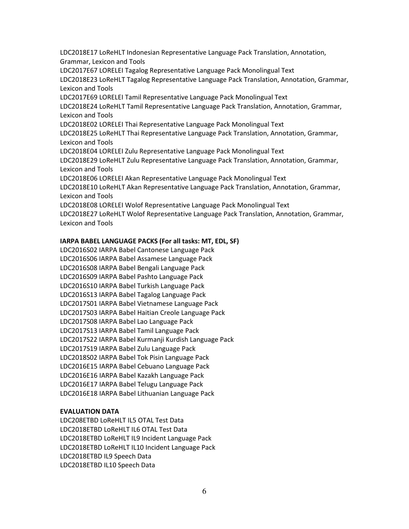LDC2018E17 LoReHLT Indonesian Representative Language Pack Translation, Annotation, Grammar, Lexicon and Tools

LDC2017E67 LORELEI Tagalog Representative Language Pack Monolingual Text

LDC2018E23 LoReHLT Tagalog Representative Language Pack Translation, Annotation, Grammar, Lexicon and Tools

LDC2017E69 LORELEI Tamil Representative Language Pack Monolingual Text

LDC2018E24 LoReHLT Tamil Representative Language Pack Translation, Annotation, Grammar, Lexicon and Tools

LDC2018E02 LORELEI Thai Representative Language Pack Monolingual Text

LDC2018E25 LoReHLT Thai Representative Language Pack Translation, Annotation, Grammar, Lexicon and Tools

LDC2018E04 LORELEI Zulu Representative Language Pack Monolingual Text

LDC2018E29 LoReHLT Zulu Representative Language Pack Translation, Annotation, Grammar, Lexicon and Tools

LDC2018E06 LORELEI Akan Representative Language Pack Monolingual Text

LDC2018E10 LoReHLT Akan Representative Language Pack Translation, Annotation, Grammar, Lexicon and Tools

LDC2018E08 LORELEI Wolof Representative Language Pack Monolingual Text

LDC2018E27 LoReHLT Wolof Representative Language Pack Translation, Annotation, Grammar, Lexicon and Tools

# **IARPA BABEL LANGUAGE PACKS (For all tasks: MT, EDL, SF)**

LDC2016S02 IARPA Babel Cantonese Language Pack LDC2016S06 IARPA Babel Assamese Language Pack LDC2016S08 IARPA Babel Bengali Language Pack LDC2016S09 IARPA Babel Pashto Language Pack LDC2016S10 IARPA Babel Turkish Language Pack LDC2016S13 IARPA Babel Tagalog Language Pack LDC2017S01 IARPA Babel Vietnamese Language Pack LDC2017S03 IARPA Babel Haitian Creole Language Pack LDC2017S08 IARPA Babel Lao Language Pack LDC2017S13 IARPA Babel Tamil Language Pack LDC2017S22 IARPA Babel Kurmanji Kurdish Language Pack LDC2017S19 IARPA Babel Zulu Language Pack LDC2018S02 IARPA Babel Tok Pisin Language Pack LDC2016E15 IARPA Babel Cebuano Language Pack LDC2016E16 IARPA Babel Kazakh Language Pack LDC2016E17 IARPA Babel Telugu Language Pack LDC2016E18 IARPA Babel Lithuanian Language Pack

### **EVALUATION DATA**

LDC208ETBD LoReHLT IL5 OTAL Test Data LDC2018ETBD LoReHLT IL6 OTAL Test Data LDC2018ETBD LoReHLT IL9 Incident Language Pack LDC2018ETBD LoReHLT IL10 Incident Language Pack LDC2018ETBD IL9 Speech Data LDC2018ETBD IL10 Speech Data